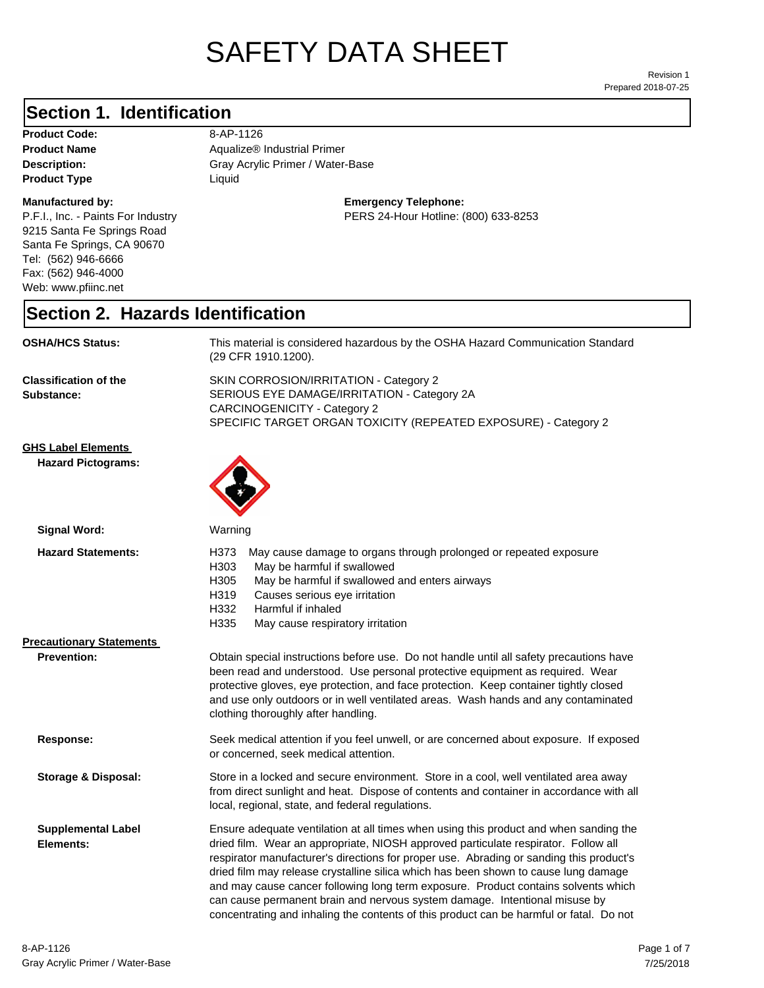# SAFETY DATA SHEET

Prepared 2018-07-25 Revision 1

#### **Section 1. Identification**

Product Code: 8-AP-1126 **Product Type Liquid Liquid** 

#### **Manufactured by:**

P.F.I., Inc. - Paints For Industry 9215 Santa Fe Springs Road Santa Fe Springs, CA 90670 Tel: (562) 946-6666 Fax: (562) 946-4000 Web: www.pfiinc.net

Description: **Description:** Gray Acrylic Primer / Water-Base **Product Name** Aqualize® Industrial Primer

**Emergency Telephone:**

PERS 24-Hour Hotline: (800) 633-8253

#### **Section 2. Hazards Identification**

| <b>OSHA/HCS Status:</b>                                | This material is considered hazardous by the OSHA Hazard Communication Standard<br>(29 CFR 1910.1200).                                                                                                                                                                                                                                                                                                                                                                                                                                                                                                                       |  |
|--------------------------------------------------------|------------------------------------------------------------------------------------------------------------------------------------------------------------------------------------------------------------------------------------------------------------------------------------------------------------------------------------------------------------------------------------------------------------------------------------------------------------------------------------------------------------------------------------------------------------------------------------------------------------------------------|--|
| <b>Classification of the</b><br>Substance:             | SKIN CORROSION/IRRITATION - Category 2<br>SERIOUS EYE DAMAGE/IRRITATION - Category 2A<br><b>CARCINOGENICITY - Category 2</b><br>SPECIFIC TARGET ORGAN TOXICITY (REPEATED EXPOSURE) - Category 2                                                                                                                                                                                                                                                                                                                                                                                                                              |  |
| <b>GHS Label Elements</b><br><b>Hazard Pictograms:</b> |                                                                                                                                                                                                                                                                                                                                                                                                                                                                                                                                                                                                                              |  |
| <b>Signal Word:</b>                                    | Warning                                                                                                                                                                                                                                                                                                                                                                                                                                                                                                                                                                                                                      |  |
| <b>Hazard Statements:</b>                              | H373<br>May cause damage to organs through prolonged or repeated exposure<br>H303<br>May be harmful if swallowed<br>H305<br>May be harmful if swallowed and enters airways<br>H319<br>Causes serious eye irritation<br>H332<br>Harmful if inhaled<br>H335<br>May cause respiratory irritation                                                                                                                                                                                                                                                                                                                                |  |
| <b>Precautionary Statements</b>                        |                                                                                                                                                                                                                                                                                                                                                                                                                                                                                                                                                                                                                              |  |
| <b>Prevention:</b>                                     | Obtain special instructions before use. Do not handle until all safety precautions have<br>been read and understood. Use personal protective equipment as required. Wear<br>protective gloves, eye protection, and face protection. Keep container tightly closed<br>and use only outdoors or in well ventilated areas. Wash hands and any contaminated<br>clothing thoroughly after handling.                                                                                                                                                                                                                               |  |
| Response:                                              | Seek medical attention if you feel unwell, or are concerned about exposure. If exposed<br>or concerned, seek medical attention.                                                                                                                                                                                                                                                                                                                                                                                                                                                                                              |  |
| Storage & Disposal:                                    | Store in a locked and secure environment. Store in a cool, well ventilated area away<br>from direct sunlight and heat. Dispose of contents and container in accordance with all<br>local, regional, state, and federal regulations.                                                                                                                                                                                                                                                                                                                                                                                          |  |
| <b>Supplemental Label</b><br>Elements:                 | Ensure adequate ventilation at all times when using this product and when sanding the<br>dried film. Wear an appropriate, NIOSH approved particulate respirator. Follow all<br>respirator manufacturer's directions for proper use. Abrading or sanding this product's<br>dried film may release crystalline silica which has been shown to cause lung damage<br>and may cause cancer following long term exposure. Product contains solvents which<br>can cause permanent brain and nervous system damage. Intentional misuse by<br>concentrating and inhaling the contents of this product can be harmful or fatal. Do not |  |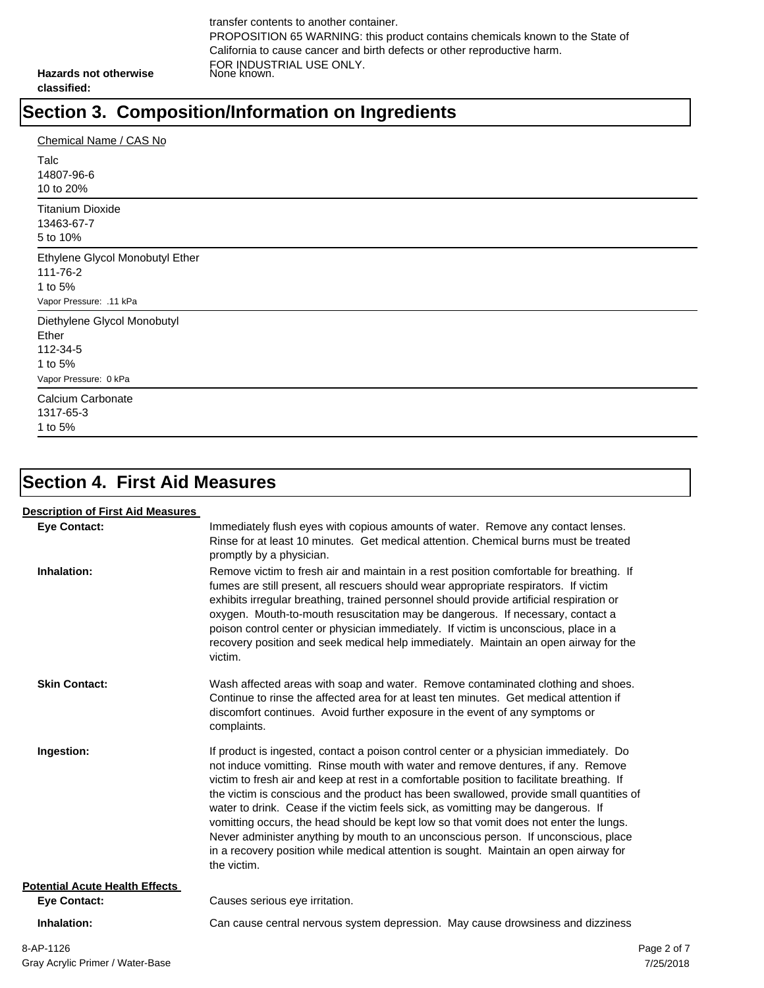transfer contents to another container. PROPOSITION 65 WARNING: this product contains chemicals known to the State of California to cause cancer and birth defects or other reproductive harm. FOR INDUSTRIAL USE ONLY. None known.

**Hazards not otherwise classified:**

#### **Section 3. Composition/Information on Ingredients**

| Chemical Name / CAS No                                                               |
|--------------------------------------------------------------------------------------|
| Talc<br>14807-96-6<br>10 to 20%                                                      |
| <b>Titanium Dioxide</b><br>13463-67-7<br>5 to 10%                                    |
| Ethylene Glycol Monobutyl Ether<br>111-76-2<br>1 to 5%<br>Vapor Pressure: .11 kPa    |
| Diethylene Glycol Monobutyl<br>Ether<br>112-34-5<br>1 to 5%<br>Vapor Pressure: 0 kPa |
| Calcium Carbonate<br>1317-65-3<br>1 to 5%                                            |

# **Section 4. First Aid Measures**

| <b>Description of First Aid Measures</b> |                                                                                                                                                                                                                                                                                                                                                                                                                                                                                                                                                                                                                                                                                                                                                 |             |
|------------------------------------------|-------------------------------------------------------------------------------------------------------------------------------------------------------------------------------------------------------------------------------------------------------------------------------------------------------------------------------------------------------------------------------------------------------------------------------------------------------------------------------------------------------------------------------------------------------------------------------------------------------------------------------------------------------------------------------------------------------------------------------------------------|-------------|
| <b>Eye Contact:</b>                      | Immediately flush eyes with copious amounts of water. Remove any contact lenses.<br>Rinse for at least 10 minutes. Get medical attention. Chemical burns must be treated<br>promptly by a physician.                                                                                                                                                                                                                                                                                                                                                                                                                                                                                                                                            |             |
| Inhalation:                              | Remove victim to fresh air and maintain in a rest position comfortable for breathing. If<br>fumes are still present, all rescuers should wear appropriate respirators. If victim<br>exhibits irregular breathing, trained personnel should provide artificial respiration or<br>oxygen. Mouth-to-mouth resuscitation may be dangerous. If necessary, contact a<br>poison control center or physician immediately. If victim is unconscious, place in a<br>recovery position and seek medical help immediately. Maintain an open airway for the<br>victim.                                                                                                                                                                                       |             |
| <b>Skin Contact:</b>                     | Wash affected areas with soap and water. Remove contaminated clothing and shoes.<br>Continue to rinse the affected area for at least ten minutes. Get medical attention if<br>discomfort continues. Avoid further exposure in the event of any symptoms or<br>complaints.                                                                                                                                                                                                                                                                                                                                                                                                                                                                       |             |
| Ingestion:                               | If product is ingested, contact a poison control center or a physician immediately. Do<br>not induce vomitting. Rinse mouth with water and remove dentures, if any. Remove<br>victim to fresh air and keep at rest in a comfortable position to facilitate breathing. If<br>the victim is conscious and the product has been swallowed, provide small quantities of<br>water to drink. Cease if the victim feels sick, as vomitting may be dangerous. If<br>vomitting occurs, the head should be kept low so that vomit does not enter the lungs.<br>Never administer anything by mouth to an unconscious person. If unconscious, place<br>in a recovery position while medical attention is sought. Maintain an open airway for<br>the victim. |             |
| <b>Potential Acute Health Effects</b>    |                                                                                                                                                                                                                                                                                                                                                                                                                                                                                                                                                                                                                                                                                                                                                 |             |
| <b>Eve Contact:</b>                      | Causes serious eye irritation.                                                                                                                                                                                                                                                                                                                                                                                                                                                                                                                                                                                                                                                                                                                  |             |
| Inhalation:                              | Can cause central nervous system depression. May cause drowsiness and dizziness                                                                                                                                                                                                                                                                                                                                                                                                                                                                                                                                                                                                                                                                 |             |
| 8-AP-1126                                |                                                                                                                                                                                                                                                                                                                                                                                                                                                                                                                                                                                                                                                                                                                                                 | Page 2 of 7 |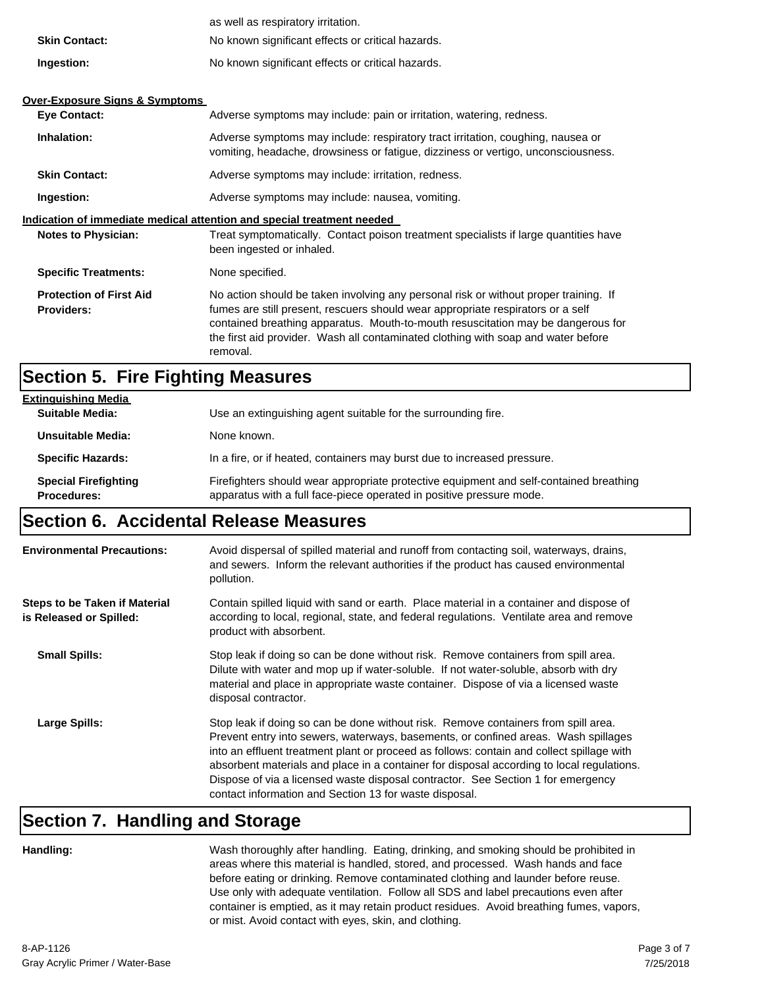|                                                     | as well as respiratory irritation.                                                                                                                                                                                                                                                                                                                           |  |
|-----------------------------------------------------|--------------------------------------------------------------------------------------------------------------------------------------------------------------------------------------------------------------------------------------------------------------------------------------------------------------------------------------------------------------|--|
| <b>Skin Contact:</b>                                | No known significant effects or critical hazards.                                                                                                                                                                                                                                                                                                            |  |
| Ingestion:                                          | No known significant effects or critical hazards.                                                                                                                                                                                                                                                                                                            |  |
|                                                     |                                                                                                                                                                                                                                                                                                                                                              |  |
| <b>Over-Exposure Signs &amp; Symptoms</b>           |                                                                                                                                                                                                                                                                                                                                                              |  |
| <b>Eye Contact:</b>                                 | Adverse symptoms may include: pain or irritation, watering, redness.                                                                                                                                                                                                                                                                                         |  |
| Inhalation:                                         | Adverse symptoms may include: respiratory tract irritation, coughing, nausea or<br>vomiting, headache, drowsiness or fatigue, dizziness or vertigo, unconsciousness.                                                                                                                                                                                         |  |
| <b>Skin Contact:</b>                                | Adverse symptoms may include: irritation, redness.                                                                                                                                                                                                                                                                                                           |  |
| Ingestion:                                          | Adverse symptoms may include: nausea, vomiting.                                                                                                                                                                                                                                                                                                              |  |
|                                                     | Indication of immediate medical attention and special treatment needed                                                                                                                                                                                                                                                                                       |  |
| <b>Notes to Physician:</b>                          | Treat symptomatically. Contact poison treatment specialists if large quantities have<br>been ingested or inhaled.                                                                                                                                                                                                                                            |  |
| <b>Specific Treatments:</b>                         | None specified.                                                                                                                                                                                                                                                                                                                                              |  |
| <b>Protection of First Aid</b><br><b>Providers:</b> | No action should be taken involving any personal risk or without proper training. If<br>fumes are still present, rescuers should wear appropriate respirators or a self<br>contained breathing apparatus. Mouth-to-mouth resuscitation may be dangerous for<br>the first aid provider. Wash all contaminated clothing with soap and water before<br>removal. |  |

#### **Section 5. Fire Fighting Measures**

| <b>Extinguishing Media</b>                        |                                                                                                                                                                |
|---------------------------------------------------|----------------------------------------------------------------------------------------------------------------------------------------------------------------|
| <b>Suitable Media:</b>                            | Use an extinguishing agent suitable for the surrounding fire.                                                                                                  |
| Unsuitable Media:                                 | None known.                                                                                                                                                    |
| <b>Specific Hazards:</b>                          | In a fire, or if heated, containers may burst due to increased pressure.                                                                                       |
| <b>Special Firefighting</b><br><b>Procedures:</b> | Firefighters should wear appropriate protective equipment and self-contained breathing<br>apparatus with a full face-piece operated in positive pressure mode. |

#### **Section 6. Accidental Release Measures**

| <b>Environmental Precautions:</b>                               | Avoid dispersal of spilled material and runoff from contacting soil, waterways, drains,<br>and sewers. Inform the relevant authorities if the product has caused environmental<br>pollution.                                                                                                                                                                                                                                                                                                                     |
|-----------------------------------------------------------------|------------------------------------------------------------------------------------------------------------------------------------------------------------------------------------------------------------------------------------------------------------------------------------------------------------------------------------------------------------------------------------------------------------------------------------------------------------------------------------------------------------------|
| <b>Steps to be Taken if Material</b><br>is Released or Spilled: | Contain spilled liquid with sand or earth. Place material in a container and dispose of<br>according to local, regional, state, and federal regulations. Ventilate area and remove<br>product with absorbent.                                                                                                                                                                                                                                                                                                    |
| <b>Small Spills:</b>                                            | Stop leak if doing so can be done without risk. Remove containers from spill area.<br>Dilute with water and mop up if water-soluble. If not water-soluble, absorb with dry<br>material and place in appropriate waste container. Dispose of via a licensed waste<br>disposal contractor.                                                                                                                                                                                                                         |
| Large Spills:                                                   | Stop leak if doing so can be done without risk. Remove containers from spill area.<br>Prevent entry into sewers, waterways, basements, or confined areas. Wash spillages<br>into an effluent treatment plant or proceed as follows: contain and collect spillage with<br>absorbent materials and place in a container for disposal according to local regulations.<br>Dispose of via a licensed waste disposal contractor. See Section 1 for emergency<br>contact information and Section 13 for waste disposal. |

#### **Section 7. Handling and Storage**

**Handling:** Wash thoroughly after handling. Eating, drinking, and smoking should be prohibited in areas where this material is handled, stored, and processed. Wash hands and face before eating or drinking. Remove contaminated clothing and launder before reuse. Use only with adequate ventilation. Follow all SDS and label precautions even after container is emptied, as it may retain product residues. Avoid breathing fumes, vapors, or mist. Avoid contact with eyes, skin, and clothing.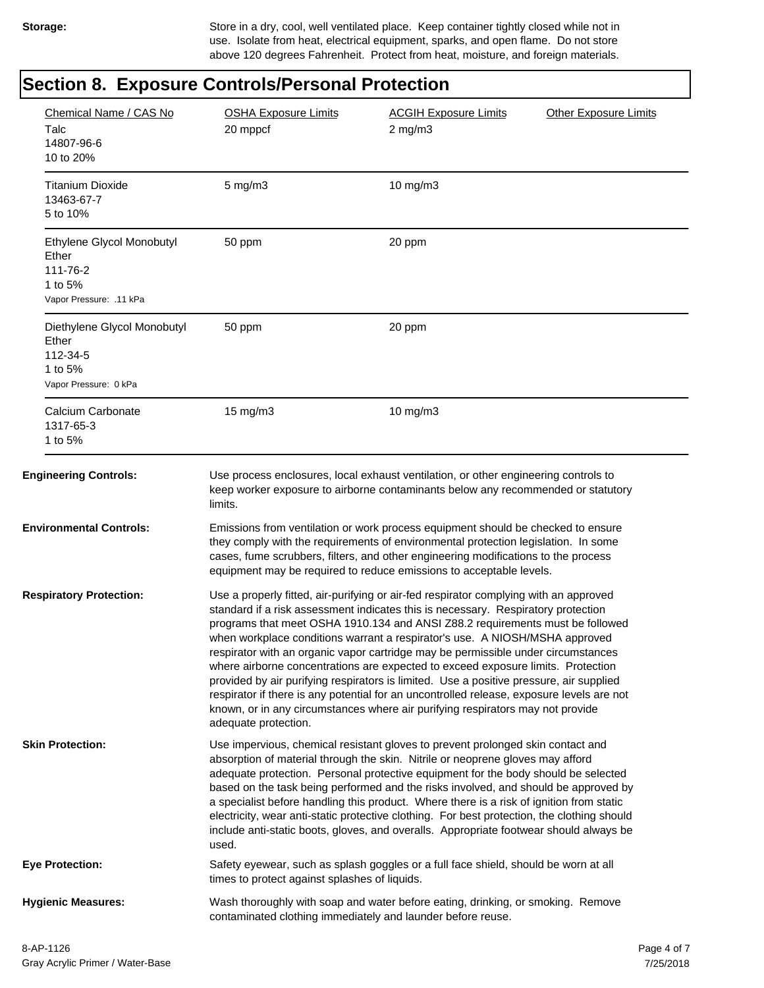Storage: Store in a dry, cool, well ventilated place. Keep container tightly closed while not in use. Isolate from heat, electrical equipment, sparks, and open flame. Do not store above 120 degrees Fahrenheit. Protect from heat, moisture, and foreign materials.

### **Section 8. Exposure Controls/Personal Protection**

| Chemical Name / CAS No<br>Talc<br>14807-96-6<br>10 to 20%                            | <b>OSHA Exposure Limits</b><br>20 mppcf                                                                                                                                                                                                                                                                                                                                                                                                                                                                                                                                                                                                                                                                                                                                                                               | <b>ACGIH Exposure Limits</b><br>$2$ mg/m $3$                                                                                                                                                                                                                                                                                        | <b>Other Exposure Limits</b> |
|--------------------------------------------------------------------------------------|-----------------------------------------------------------------------------------------------------------------------------------------------------------------------------------------------------------------------------------------------------------------------------------------------------------------------------------------------------------------------------------------------------------------------------------------------------------------------------------------------------------------------------------------------------------------------------------------------------------------------------------------------------------------------------------------------------------------------------------------------------------------------------------------------------------------------|-------------------------------------------------------------------------------------------------------------------------------------------------------------------------------------------------------------------------------------------------------------------------------------------------------------------------------------|------------------------------|
| <b>Titanium Dioxide</b><br>13463-67-7<br>5 to 10%                                    | $5$ mg/m $3$                                                                                                                                                                                                                                                                                                                                                                                                                                                                                                                                                                                                                                                                                                                                                                                                          | $10$ mg/m $3$                                                                                                                                                                                                                                                                                                                       |                              |
| Ethylene Glycol Monobutyl<br>Ether<br>111-76-2<br>1 to 5%<br>Vapor Pressure: .11 kPa | 50 ppm                                                                                                                                                                                                                                                                                                                                                                                                                                                                                                                                                                                                                                                                                                                                                                                                                | 20 ppm                                                                                                                                                                                                                                                                                                                              |                              |
| Diethylene Glycol Monobutyl<br>Ether<br>112-34-5<br>1 to 5%<br>Vapor Pressure: 0 kPa | 50 ppm                                                                                                                                                                                                                                                                                                                                                                                                                                                                                                                                                                                                                                                                                                                                                                                                                | 20 ppm                                                                                                                                                                                                                                                                                                                              |                              |
| Calcium Carbonate<br>1317-65-3<br>1 to 5%                                            | 15 mg/m3                                                                                                                                                                                                                                                                                                                                                                                                                                                                                                                                                                                                                                                                                                                                                                                                              | 10 mg/m3                                                                                                                                                                                                                                                                                                                            |                              |
| <b>Engineering Controls:</b>                                                         | limits.                                                                                                                                                                                                                                                                                                                                                                                                                                                                                                                                                                                                                                                                                                                                                                                                               | Use process enclosures, local exhaust ventilation, or other engineering controls to<br>keep worker exposure to airborne contaminants below any recommended or statutory                                                                                                                                                             |                              |
| <b>Environmental Controls:</b>                                                       |                                                                                                                                                                                                                                                                                                                                                                                                                                                                                                                                                                                                                                                                                                                                                                                                                       | Emissions from ventilation or work process equipment should be checked to ensure<br>they comply with the requirements of environmental protection legislation. In some<br>cases, fume scrubbers, filters, and other engineering modifications to the process<br>equipment may be required to reduce emissions to acceptable levels. |                              |
| <b>Respiratory Protection:</b>                                                       | Use a properly fitted, air-purifying or air-fed respirator complying with an approved<br>standard if a risk assessment indicates this is necessary. Respiratory protection<br>programs that meet OSHA 1910.134 and ANSI Z88.2 requirements must be followed<br>when workplace conditions warrant a respirator's use. A NIOSH/MSHA approved<br>respirator with an organic vapor cartridge may be permissible under circumstances<br>where airborne concentrations are expected to exceed exposure limits. Protection<br>provided by air purifying respirators is limited. Use a positive pressure, air supplied<br>respirator if there is any potential for an uncontrolled release, exposure levels are not<br>known, or in any circumstances where air purifying respirators may not provide<br>adequate protection. |                                                                                                                                                                                                                                                                                                                                     |                              |
| <b>Skin Protection:</b>                                                              | Use impervious, chemical resistant gloves to prevent prolonged skin contact and<br>absorption of material through the skin. Nitrile or neoprene gloves may afford<br>adequate protection. Personal protective equipment for the body should be selected<br>based on the task being performed and the risks involved, and should be approved by<br>a specialist before handling this product. Where there is a risk of ignition from static<br>electricity, wear anti-static protective clothing. For best protection, the clothing should<br>include anti-static boots, gloves, and overalls. Appropriate footwear should always be<br>used.                                                                                                                                                                          |                                                                                                                                                                                                                                                                                                                                     |                              |
| <b>Eye Protection:</b>                                                               | times to protect against splashes of liquids.                                                                                                                                                                                                                                                                                                                                                                                                                                                                                                                                                                                                                                                                                                                                                                         | Safety eyewear, such as splash goggles or a full face shield, should be worn at all                                                                                                                                                                                                                                                 |                              |
| <b>Hygienic Measures:</b>                                                            |                                                                                                                                                                                                                                                                                                                                                                                                                                                                                                                                                                                                                                                                                                                                                                                                                       | Wash thoroughly with soap and water before eating, drinking, or smoking. Remove<br>contaminated clothing immediately and launder before reuse.                                                                                                                                                                                      |                              |
|                                                                                      |                                                                                                                                                                                                                                                                                                                                                                                                                                                                                                                                                                                                                                                                                                                                                                                                                       |                                                                                                                                                                                                                                                                                                                                     |                              |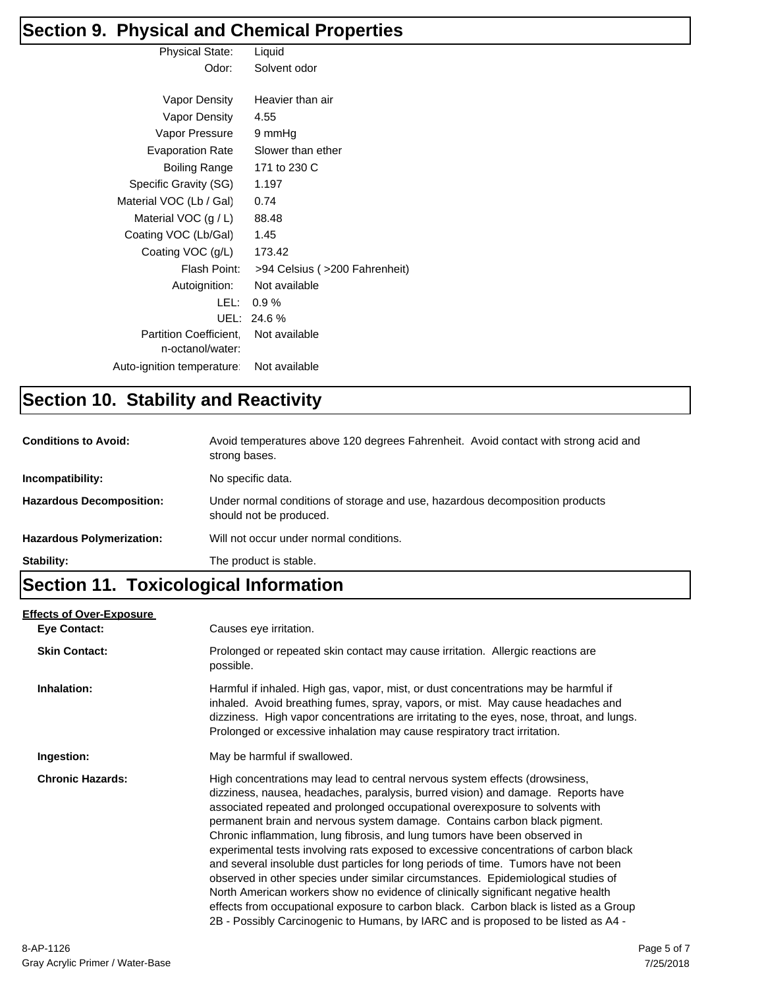# **Section 9. Physical and Chemical Properties**

| <b>Physical State:</b>     | Liquid                         |
|----------------------------|--------------------------------|
| Odor:                      | Solvent odor                   |
|                            |                                |
| Vapor Density              | Heavier than air               |
| Vapor Density              | 4.55                           |
| Vapor Pressure             | 9 mmHg                         |
| <b>Evaporation Rate</b>    | Slower than ether              |
| Boiling Range              | 171 to 230 C                   |
| Specific Gravity (SG)      | 1.197                          |
| Material VOC (Lb / Gal)    | 0.74                           |
| Material VOC $(g / L)$     | 88.48                          |
| Coating VOC (Lb/Gal)       | 1.45                           |
| Coating VOC (g/L)          | 173.42                         |
| Flash Point:               | >94 Celsius ( >200 Fahrenheit) |
| Autoignition:              | Not available                  |
| LEL:                       | $0.9\%$                        |
| UFL:                       | 24.6%                          |
| Partition Coefficient,     | Not available                  |
| n-octanol/water:           |                                |
| Auto-ignition temperature: | Not available                  |

#### **Section 10. Stability and Reactivity**

| <b>Conditions to Avoid:</b>      | Avoid temperatures above 120 degrees Fahrenheit. Avoid contact with strong acid and<br>strong bases.    |
|----------------------------------|---------------------------------------------------------------------------------------------------------|
| Incompatibility:                 | No specific data.                                                                                       |
| <b>Hazardous Decomposition:</b>  | Under normal conditions of storage and use, hazardous decomposition products<br>should not be produced. |
| <b>Hazardous Polymerization:</b> | Will not occur under normal conditions.                                                                 |
| Stability:                       | The product is stable.                                                                                  |

### **Section 11. Toxicological Information**

| <b>Effects of Over-Exposure</b><br><b>Eye Contact:</b> | Causes eye irritation.                                                                                                                                                                                                                                                                                                                                                                                                                                                                                                                                                                                                                                                                                                                                                                                                                                                                                                                              |
|--------------------------------------------------------|-----------------------------------------------------------------------------------------------------------------------------------------------------------------------------------------------------------------------------------------------------------------------------------------------------------------------------------------------------------------------------------------------------------------------------------------------------------------------------------------------------------------------------------------------------------------------------------------------------------------------------------------------------------------------------------------------------------------------------------------------------------------------------------------------------------------------------------------------------------------------------------------------------------------------------------------------------|
| <b>Skin Contact:</b>                                   | Prolonged or repeated skin contact may cause irritation. Allergic reactions are<br>possible.                                                                                                                                                                                                                                                                                                                                                                                                                                                                                                                                                                                                                                                                                                                                                                                                                                                        |
| Inhalation:                                            | Harmful if inhaled. High gas, vapor, mist, or dust concentrations may be harmful if<br>inhaled. Avoid breathing fumes, spray, vapors, or mist. May cause headaches and<br>dizziness. High vapor concentrations are irritating to the eyes, nose, throat, and lungs.<br>Prolonged or excessive inhalation may cause respiratory tract irritation.                                                                                                                                                                                                                                                                                                                                                                                                                                                                                                                                                                                                    |
| Ingestion:                                             | May be harmful if swallowed.                                                                                                                                                                                                                                                                                                                                                                                                                                                                                                                                                                                                                                                                                                                                                                                                                                                                                                                        |
| <b>Chronic Hazards:</b>                                | High concentrations may lead to central nervous system effects (drowsiness,<br>dizziness, nausea, headaches, paralysis, burred vision) and damage. Reports have<br>associated repeated and prolonged occupational overexposure to solvents with<br>permanent brain and nervous system damage. Contains carbon black pigment.<br>Chronic inflammation, lung fibrosis, and lung tumors have been observed in<br>experimental tests involving rats exposed to excessive concentrations of carbon black<br>and several insoluble dust particles for long periods of time. Tumors have not been<br>observed in other species under similar circumstances. Epidemiological studies of<br>North American workers show no evidence of clinically significant negative health<br>effects from occupational exposure to carbon black. Carbon black is listed as a Group<br>2B - Possibly Carcinogenic to Humans, by IARC and is proposed to be listed as A4 - |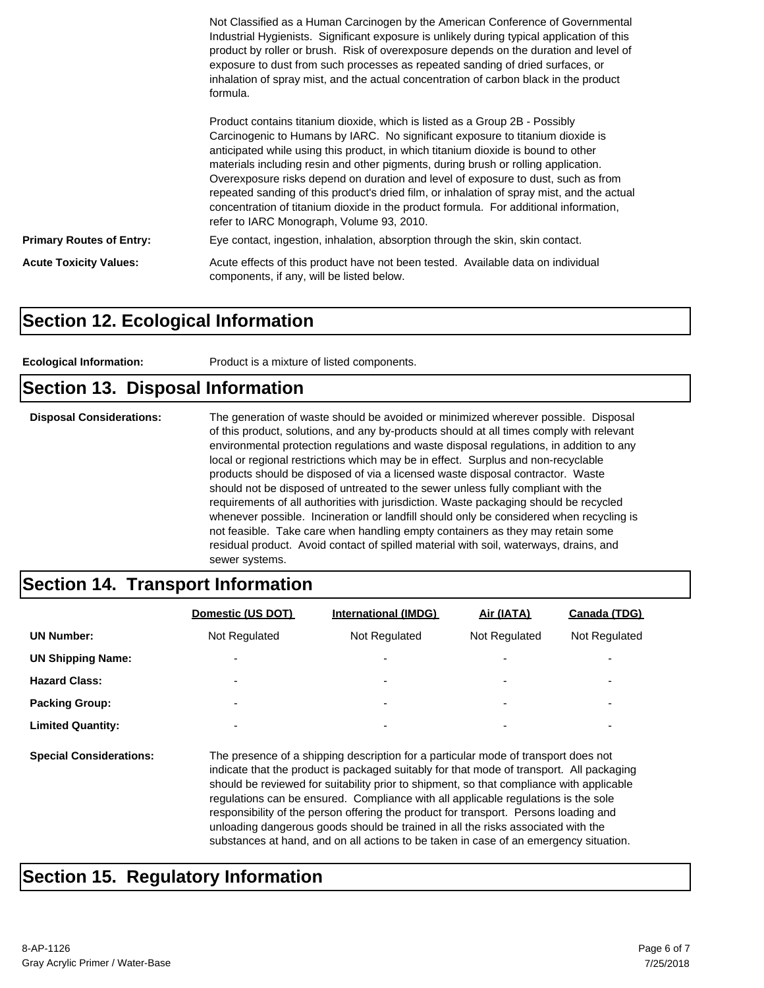|                                 | Not Classified as a Human Carcinogen by the American Conference of Governmental<br>Industrial Hygienists. Significant exposure is unlikely during typical application of this<br>product by roller or brush. Risk of overexposure depends on the duration and level of<br>exposure to dust from such processes as repeated sanding of dried surfaces, or<br>inhalation of spray mist, and the actual concentration of carbon black in the product<br>formula.                                                                                                                                                                                                     |
|---------------------------------|-------------------------------------------------------------------------------------------------------------------------------------------------------------------------------------------------------------------------------------------------------------------------------------------------------------------------------------------------------------------------------------------------------------------------------------------------------------------------------------------------------------------------------------------------------------------------------------------------------------------------------------------------------------------|
|                                 | Product contains titanium dioxide, which is listed as a Group 2B - Possibly<br>Carcinogenic to Humans by IARC. No significant exposure to titanium dioxide is<br>anticipated while using this product, in which titanium dioxide is bound to other<br>materials including resin and other pigments, during brush or rolling application.<br>Overexposure risks depend on duration and level of exposure to dust, such as from<br>repeated sanding of this product's dried film, or inhalation of spray mist, and the actual<br>concentration of titanium dioxide in the product formula. For additional information,<br>refer to IARC Monograph, Volume 93, 2010. |
| <b>Primary Routes of Entry:</b> | Eye contact, ingestion, inhalation, absorption through the skin, skin contact.                                                                                                                                                                                                                                                                                                                                                                                                                                                                                                                                                                                    |
| <b>Acute Toxicity Values:</b>   | Acute effects of this product have not been tested. Available data on individual<br>components, if any, will be listed below.                                                                                                                                                                                                                                                                                                                                                                                                                                                                                                                                     |

#### **Section 12. Ecological Information**

**Ecological Information:** Product is a mixture of listed components.

#### **Section 13. Disposal Information**

| <b>Disposal Considerations:</b> | The generation of waste should be avoided or minimized wherever possible. Disposal<br>of this product, solutions, and any by-products should at all times comply with relevant<br>environmental protection regulations and waste disposal regulations, in addition to any<br>local or regional restrictions which may be in effect. Surplus and non-recyclable<br>products should be disposed of via a licensed waste disposal contractor. Waste<br>should not be disposed of untreated to the sewer unless fully compliant with the<br>requirements of all authorities with jurisdiction. Waste packaging should be recycled<br>whenever possible. Incineration or landfill should only be considered when recycling is<br>not feasible. Take care when handling empty containers as they may retain some<br>residual product. Avoid contact of spilled material with soil, waterways, drains, and |
|---------------------------------|-----------------------------------------------------------------------------------------------------------------------------------------------------------------------------------------------------------------------------------------------------------------------------------------------------------------------------------------------------------------------------------------------------------------------------------------------------------------------------------------------------------------------------------------------------------------------------------------------------------------------------------------------------------------------------------------------------------------------------------------------------------------------------------------------------------------------------------------------------------------------------------------------------|
|                                 | sewer systems.                                                                                                                                                                                                                                                                                                                                                                                                                                                                                                                                                                                                                                                                                                                                                                                                                                                                                      |

#### **Section 14. Transport Information**

|                                | Domestic (US DOT)                                                                                                                                                                                                                                                                                                                                                                                                                                                                                                                                                                                                                     | <b>International (IMDG)</b> | Air (IATA)    | Canada (TDG)  |
|--------------------------------|---------------------------------------------------------------------------------------------------------------------------------------------------------------------------------------------------------------------------------------------------------------------------------------------------------------------------------------------------------------------------------------------------------------------------------------------------------------------------------------------------------------------------------------------------------------------------------------------------------------------------------------|-----------------------------|---------------|---------------|
| <b>UN Number:</b>              | Not Regulated                                                                                                                                                                                                                                                                                                                                                                                                                                                                                                                                                                                                                         | Not Regulated               | Not Regulated | Not Regulated |
| <b>UN Shipping Name:</b>       |                                                                                                                                                                                                                                                                                                                                                                                                                                                                                                                                                                                                                                       |                             |               |               |
| <b>Hazard Class:</b>           |                                                                                                                                                                                                                                                                                                                                                                                                                                                                                                                                                                                                                                       |                             |               |               |
| <b>Packing Group:</b>          |                                                                                                                                                                                                                                                                                                                                                                                                                                                                                                                                                                                                                                       |                             |               |               |
| <b>Limited Quantity:</b>       |                                                                                                                                                                                                                                                                                                                                                                                                                                                                                                                                                                                                                                       |                             |               |               |
| <b>Special Considerations:</b> | The presence of a shipping description for a particular mode of transport does not<br>indicate that the product is packaged suitably for that mode of transport. All packaging<br>should be reviewed for suitability prior to shipment, so that compliance with applicable<br>regulations can be ensured. Compliance with all applicable regulations is the sole<br>responsibility of the person offering the product for transport. Persons loading and<br>unloading dangerous goods should be trained in all the risks associated with the<br>substances at hand, and on all actions to be taken in case of an emergency situation. |                             |               |               |

### **Section 15. Regulatory Information**